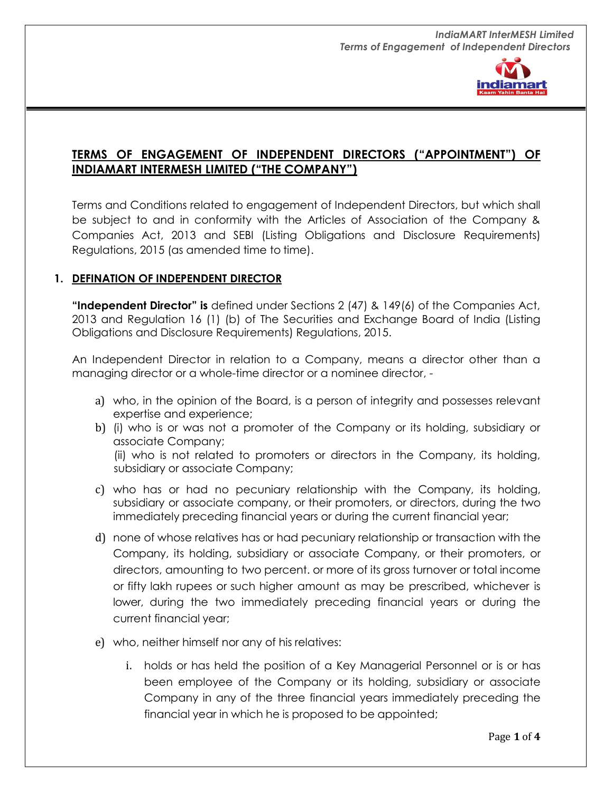

# **TERMS OF ENGAGEMENT OF INDEPENDENT DIRECTORS ("APPOINTMENT") OF INDIAMART INTERMESH LIMITED ("THE COMPANY")**

Terms and Conditions related to engagement of Independent Directors, but which shall be subject to and in conformity with the Articles of Association of the Company & Companies Act, 2013 and SEBI (Listing Obligations and Disclosure Requirements) Regulations, 2015 (as amended time to time).

## **1. DEFINATION OF INDEPENDENT DIRECTOR**

**"Independent Director" is** defined under Sections 2 (47) & 149(6) of the Companies Act, 2013 and Regulation 16 (1) (b) of The Securities and Exchange Board of India (Listing Obligations and Disclosure Requirements) Regulations, 2015.

An Independent Director in relation to a Company, means a director other than a managing director or a whole-time director or a nominee director, -

- a) who, in the opinion of the Board, is a person of integrity and possesses relevant expertise and experience;
- b) (i) who is or was not a promoter of the Company or its holding, subsidiary or associate Company; (ii) who is not related to promoters or directors in the Company, its holding, subsidiary or associate Company;
- c) who has or had no pecuniary relationship with the Company, its holding, subsidiary or associate company, or their promoters, or directors, during the two immediately preceding financial years or during the current financial year;
- d) none of whose relatives has or had pecuniary relationship or transaction with the Company, its holding, subsidiary or associate Company, or their promoters, or directors, amounting to two percent. or more of its gross turnover or total income or fifty lakh rupees or such higher amount as may be prescribed, whichever is lower, during the two immediately preceding financial years or during the current financial year;
- e) who, neither himself nor any of his relatives:
	- i. holds or has held the position of a Key Managerial Personnel or is or has been employee of the Company or its holding, subsidiary or associate Company in any of the three financial years immediately preceding the financial year in which he is proposed to be appointed;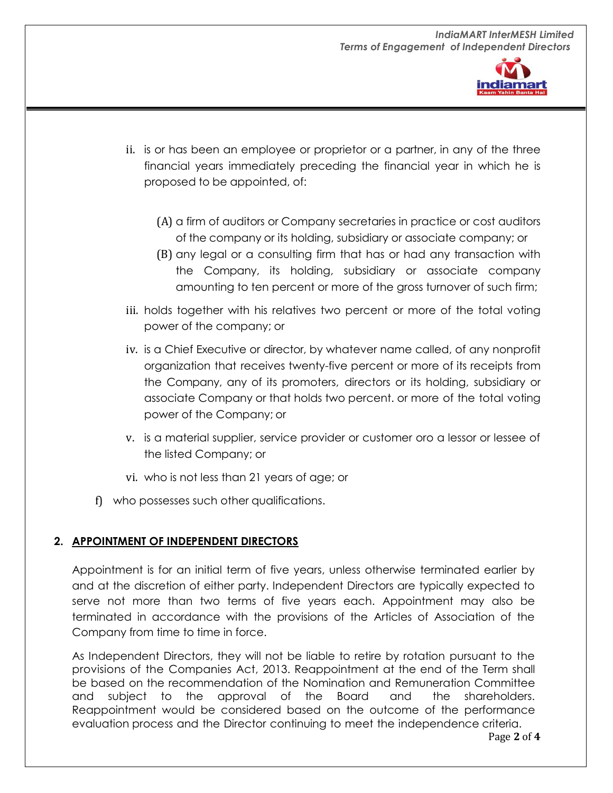

- ii. is or has been an employee or proprietor or a partner, in any of the three financial years immediately preceding the financial year in which he is proposed to be appointed, of:
	- (A) a firm of auditors or Company secretaries in practice or cost auditors of the company or its holding, subsidiary or associate company; or
	- (B) any legal or a consulting firm that has or had any transaction with the Company, its holding, subsidiary or associate company amounting to ten percent or more of the gross turnover of such firm;
- iii. holds together with his relatives two percent or more of the total voting power of the company; or
- iv. is a Chief Executive or director, by whatever name called, of any nonprofit organization that receives twenty-five percent or more of its receipts from the Company, any of its promoters, directors or its holding, subsidiary or associate Company or that holds two percent. or more of the total voting power of the Company; or
- v. is a material supplier, service provider or customer oro a lessor or lessee of the listed Company; or
- vi. who is not less than 21 years of age; or
- f) who possesses such other qualifications.

# **2. APPOINTMENT OF INDEPENDENT DIRECTORS**

Appointment is for an initial term of five years, unless otherwise terminated earlier by and at the discretion of either party. Independent Directors are typically expected to serve not more than two terms of five years each. Appointment may also be terminated in accordance with the provisions of the Articles of Association of the Company from time to time in force.

As Independent Directors, they will not be liable to retire by rotation pursuant to the provisions of the Companies Act, 2013. Reappointment at the end of the Term shall be based on the recommendation of the Nomination and Remuneration Committee and subject to the approval of the Board and the shareholders. Reappointment would be considered based on the outcome of the performance evaluation process and the Director continuing to meet the independence criteria.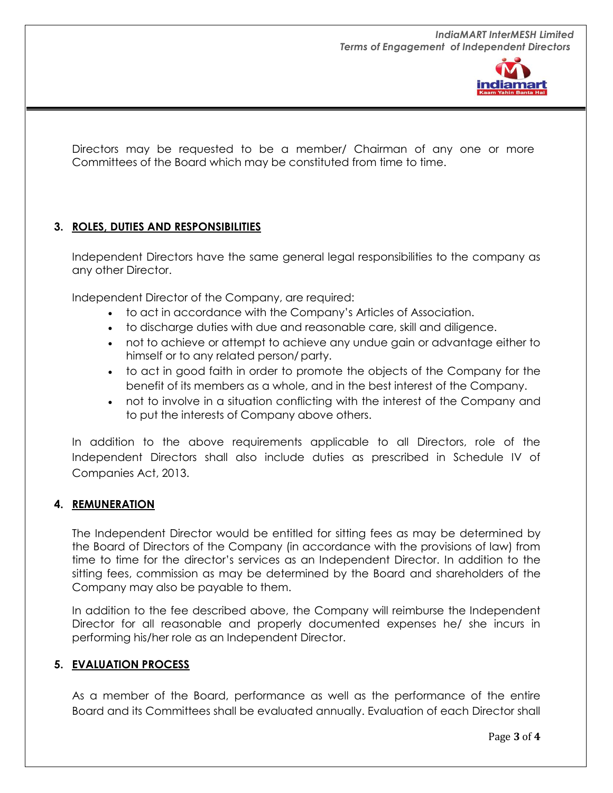

Directors may be requested to be a member/ Chairman of any one or more Committees of the Board which may be constituted from time to time.

## **3. ROLES, DUTIES AND RESPONSIBILITIES**

Independent Directors have the same general legal responsibilities to the company as any other Director.

Independent Director of the Company, are required:

- to act in accordance with the Company's Articles of Association.
- to discharge duties with due and reasonable care, skill and diligence.
- not to achieve or attempt to achieve any undue gain or advantage either to himself or to any related person/party.
- to act in good faith in order to promote the objects of the Company for the benefit of its members as a whole, and in the best interest of the Company.
- not to involve in a situation conflicting with the interest of the Company and to put the interests of Company above others.

In addition to the above requirements applicable to all Directors, role of the Independent Directors shall also include duties as prescribed in Schedule IV of Companies Act, 2013.

#### **4. REMUNERATION**

The Independent Director would be entitled for sitting fees as may be determined by the Board of Directors of the Company (in accordance with the provisions of law) from time to time for the director's services as an Independent Director. In addition to the sitting fees, commission as may be determined by the Board and shareholders of the Company may also be payable to them.

In addition to the fee described above, the Company will reimburse the Independent Director for all reasonable and properly documented expenses he/ she incurs in performing his/her role as an Independent Director.

#### **5. EVALUATION PROCESS**

As a member of the Board, performance as well as the performance of the entire Board and its Committees shall be evaluated annually. Evaluation of each Director shall